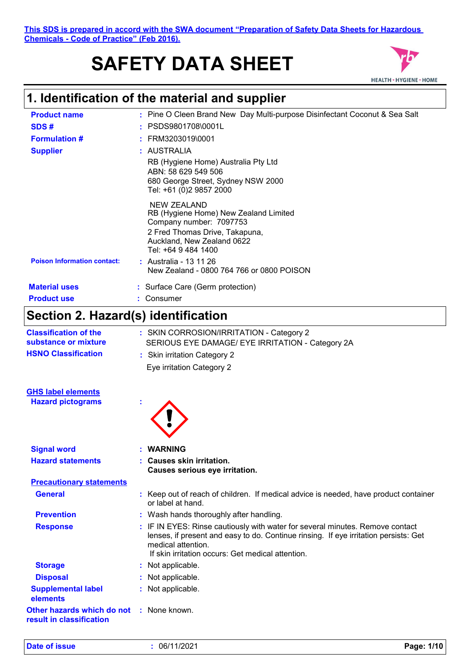**This SDS is prepared in accord with the SWA document "Preparation of Safety Data Sheets for Hazardous Chemicals - Code of Practice" (Feb 2016).**

# **SAFETY DATA SHEET**



# **1. Identification of the material and supplier**

| <b>Product name</b>                | : Pine O Cleen Brand New Day Multi-purpose Disinfectant Coconut & Sea Salt                                                                                             |
|------------------------------------|------------------------------------------------------------------------------------------------------------------------------------------------------------------------|
| SDS#                               | $:$ PSDS9801708\0001L                                                                                                                                                  |
| <b>Formulation #</b>               | $:$ FRM3203019\0001                                                                                                                                                    |
| <b>Supplier</b>                    | : AUSTRALIA                                                                                                                                                            |
|                                    | RB (Hygiene Home) Australia Pty Ltd<br>ABN: 58 629 549 506<br>680 George Street, Sydney NSW 2000<br>Tel: +61 (0)2 9857 2000                                            |
|                                    | NEW ZEALAND<br>RB (Hygiene Home) New Zealand Limited<br>Company number: 7097753<br>2 Fred Thomas Drive, Takapuna,<br>Auckland, New Zealand 0622<br>Tel: +64 9 484 1400 |
| <b>Poison Information contact:</b> | : Australia - 13 11 26<br>New Zealand - 0800 764 766 or 0800 POISON                                                                                                    |
| <b>Material uses</b>               | : Surface Care (Germ protection)                                                                                                                                       |
| <b>Product use</b>                 | : Consumer                                                                                                                                                             |

# **Section 2. Hazard(s) identification**

| <b>Classification of the</b><br>substance or mixture<br><b>HSNO Classification</b> | : SKIN CORROSION/IRRITATION - Category 2<br>SERIOUS EYE DAMAGE/ EYE IRRITATION - Category 2A<br>: Skin irritation Category 2<br>Eye irritation Category 2                                                                                        |
|------------------------------------------------------------------------------------|--------------------------------------------------------------------------------------------------------------------------------------------------------------------------------------------------------------------------------------------------|
| <b>GHS label elements</b>                                                          |                                                                                                                                                                                                                                                  |
| <b>Hazard pictograms</b>                                                           |                                                                                                                                                                                                                                                  |
| <b>Signal word</b>                                                                 | <b>WARNING</b>                                                                                                                                                                                                                                   |
| <b>Hazard statements</b>                                                           | : Causes skin irritation.<br>Causes serious eye irritation.                                                                                                                                                                                      |
| <b>Precautionary statements</b>                                                    |                                                                                                                                                                                                                                                  |
| <b>General</b>                                                                     | : Keep out of reach of children. If medical advice is needed, have product container<br>or label at hand.                                                                                                                                        |
| <b>Prevention</b>                                                                  | : Wash hands thoroughly after handling.                                                                                                                                                                                                          |
| <b>Response</b>                                                                    | : IF IN EYES: Rinse cautiously with water for several minutes. Remove contact<br>lenses, if present and easy to do. Continue rinsing. If eye irritation persists: Get<br>medical attention.<br>If skin irritation occurs: Get medical attention. |
| <b>Storage</b>                                                                     | : Not applicable.                                                                                                                                                                                                                                |
| <b>Disposal</b>                                                                    | : Not applicable.                                                                                                                                                                                                                                |
| <b>Supplemental label</b><br>elements                                              | : Not applicable.                                                                                                                                                                                                                                |
| Other hazards which do not<br>result in classification                             | : None known.                                                                                                                                                                                                                                    |

**Date of issue :** 06/11/2021 **Page: 1/10**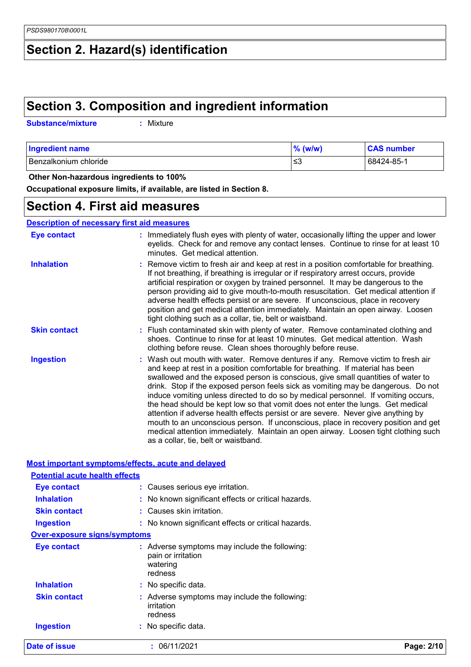# **Section 2. Hazard(s) identification**

### **Section 3. Composition and ingredient information**

| <b>Substance/mixture</b><br>: Mixture |
|---------------------------------------|
|---------------------------------------|

| <b>Ingredient name</b> | $%$ (w/w) | <b>CAS number</b> |
|------------------------|-----------|-------------------|
| Benzalkonium chloride  | ≲3        | 68424-85-1        |

 **Other Non-hazardous ingredients to 100%**

**Occupational exposure limits, if available, are listed in Section 8.**

### **Section 4. First aid measures**

| <b>Description of necessary first aid measures</b> |
|----------------------------------------------------|
|----------------------------------------------------|

| <b>Eye contact</b>  | : Immediately flush eyes with plenty of water, occasionally lifting the upper and lower<br>eyelids. Check for and remove any contact lenses. Continue to rinse for at least 10<br>minutes. Get medical attention.                                                                                                                                                                                                                                                                                                                                                                                                                                                                                                                                                                                                            |
|---------------------|------------------------------------------------------------------------------------------------------------------------------------------------------------------------------------------------------------------------------------------------------------------------------------------------------------------------------------------------------------------------------------------------------------------------------------------------------------------------------------------------------------------------------------------------------------------------------------------------------------------------------------------------------------------------------------------------------------------------------------------------------------------------------------------------------------------------------|
| <b>Inhalation</b>   | : Remove victim to fresh air and keep at rest in a position comfortable for breathing.<br>If not breathing, if breathing is irregular or if respiratory arrest occurs, provide<br>artificial respiration or oxygen by trained personnel. It may be dangerous to the<br>person providing aid to give mouth-to-mouth resuscitation. Get medical attention if<br>adverse health effects persist or are severe. If unconscious, place in recovery<br>position and get medical attention immediately. Maintain an open airway. Loosen<br>tight clothing such as a collar, tie, belt or waistband.                                                                                                                                                                                                                                 |
| <b>Skin contact</b> | : Flush contaminated skin with plenty of water. Remove contaminated clothing and<br>shoes. Continue to rinse for at least 10 minutes. Get medical attention. Wash<br>clothing before reuse. Clean shoes thoroughly before reuse.                                                                                                                                                                                                                                                                                                                                                                                                                                                                                                                                                                                             |
| <b>Ingestion</b>    | : Wash out mouth with water. Remove dentures if any. Remove victim to fresh air<br>and keep at rest in a position comfortable for breathing. If material has been<br>swallowed and the exposed person is conscious, give small quantities of water to<br>drink. Stop if the exposed person feels sick as vomiting may be dangerous. Do not<br>induce vomiting unless directed to do so by medical personnel. If vomiting occurs,<br>the head should be kept low so that vomit does not enter the lungs. Get medical<br>attention if adverse health effects persist or are severe. Never give anything by<br>mouth to an unconscious person. If unconscious, place in recovery position and get<br>medical attention immediately. Maintain an open airway. Loosen tight clothing such<br>as a collar, tie, belt or waistband. |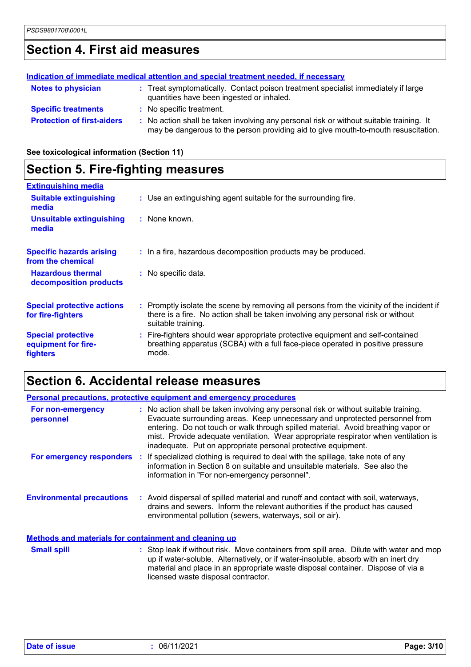# **Section 4. First aid measures**

|                                   | Indication of immediate medical attention and special treatment needed, if necessary                                                                                          |
|-----------------------------------|-------------------------------------------------------------------------------------------------------------------------------------------------------------------------------|
| <b>Notes to physician</b>         | : Treat symptomatically. Contact poison treatment specialist immediately if large<br>quantities have been ingested or inhaled.                                                |
| <b>Specific treatments</b>        | : No specific treatment.                                                                                                                                                      |
| <b>Protection of first-aiders</b> | : No action shall be taken involving any personal risk or without suitable training. It<br>may be dangerous to the person providing aid to give mouth-to-mouth resuscitation. |

**See toxicological information (Section 11)**

### **Section 5. Fire-fighting measures**

| <b>Extinguishing media</b>                                   |                                                                                                                                                                                                     |
|--------------------------------------------------------------|-----------------------------------------------------------------------------------------------------------------------------------------------------------------------------------------------------|
| <b>Suitable extinguishing</b><br>media                       | : Use an extinguishing agent suitable for the surrounding fire.                                                                                                                                     |
| <b>Unsuitable extinguishing</b><br>media                     | : None known.                                                                                                                                                                                       |
| <b>Specific hazards arising</b><br>from the chemical         | : In a fire, hazardous decomposition products may be produced.                                                                                                                                      |
| <b>Hazardous thermal</b><br>decomposition products           | : No specific data.                                                                                                                                                                                 |
| <b>Special protective actions</b><br>for fire-fighters       | : Promptly isolate the scene by removing all persons from the vicinity of the incident if<br>there is a fire. No action shall be taken involving any personal risk or without<br>suitable training. |
| <b>Special protective</b><br>equipment for fire-<br>fighters | : Fire-fighters should wear appropriate protective equipment and self-contained<br>breathing apparatus (SCBA) with a full face-piece operated in positive pressure<br>mode.                         |

# **Section 6. Accidental release measures**

|                                                              | <b>Personal precautions, protective equipment and emergency procedures</b>                                                                                                                                                                                                                                                                                                                                       |
|--------------------------------------------------------------|------------------------------------------------------------------------------------------------------------------------------------------------------------------------------------------------------------------------------------------------------------------------------------------------------------------------------------------------------------------------------------------------------------------|
| For non-emergency<br>personnel                               | : No action shall be taken involving any personal risk or without suitable training.<br>Evacuate surrounding areas. Keep unnecessary and unprotected personnel from<br>entering. Do not touch or walk through spilled material. Avoid breathing vapor or<br>mist. Provide adequate ventilation. Wear appropriate respirator when ventilation is<br>inadequate. Put on appropriate personal protective equipment. |
|                                                              | For emergency responders : If specialized clothing is required to deal with the spillage, take note of any<br>information in Section 8 on suitable and unsuitable materials. See also the<br>information in "For non-emergency personnel".                                                                                                                                                                       |
| <b>Environmental precautions</b>                             | : Avoid dispersal of spilled material and runoff and contact with soil, waterways,<br>drains and sewers. Inform the relevant authorities if the product has caused<br>environmental pollution (sewers, waterways, soil or air).                                                                                                                                                                                  |
| <b>Methods and materials for containment and cleaning up</b> |                                                                                                                                                                                                                                                                                                                                                                                                                  |
| <b>Small spill</b>                                           | : Stop leak if without risk. Move containers from spill area. Dilute with water and mop<br>up if water-soluble. Alternatively, or if water-insoluble, absorb with an inert dry                                                                                                                                                                                                                                   |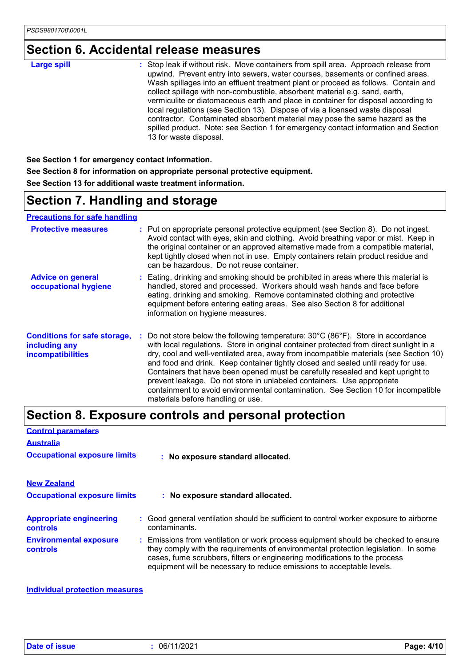# **Section 6. Accidental release measures**

| <b>Large spill</b> | : Stop leak if without risk. Move containers from spill area. Approach release from                                                                                                                                                                                                                                                                                                                                                                                                                                                                                                                                      |
|--------------------|--------------------------------------------------------------------------------------------------------------------------------------------------------------------------------------------------------------------------------------------------------------------------------------------------------------------------------------------------------------------------------------------------------------------------------------------------------------------------------------------------------------------------------------------------------------------------------------------------------------------------|
|                    | upwind. Prevent entry into sewers, water courses, basements or confined areas.<br>Wash spillages into an effluent treatment plant or proceed as follows. Contain and<br>collect spillage with non-combustible, absorbent material e.g. sand, earth,<br>vermiculite or diatomaceous earth and place in container for disposal according to<br>local regulations (see Section 13). Dispose of via a licensed waste disposal<br>contractor. Contaminated absorbent material may pose the same hazard as the<br>spilled product. Note: see Section 1 for emergency contact information and Section<br>13 for waste disposal. |

**See Section 1 for emergency contact information. See Section 8 for information on appropriate personal protective equipment. See Section 13 for additional waste treatment information.**

# **Section 7. Handling and storage**

#### **Precautions for safe handling**

| <b>Protective measures</b>                                                | : Put on appropriate personal protective equipment (see Section 8). Do not ingest.<br>Avoid contact with eyes, skin and clothing. Avoid breathing vapor or mist. Keep in<br>the original container or an approved alternative made from a compatible material,<br>kept tightly closed when not in use. Empty containers retain product residue and<br>can be hazardous. Do not reuse container.                                                                                                                                                                                                                                                |  |
|---------------------------------------------------------------------------|------------------------------------------------------------------------------------------------------------------------------------------------------------------------------------------------------------------------------------------------------------------------------------------------------------------------------------------------------------------------------------------------------------------------------------------------------------------------------------------------------------------------------------------------------------------------------------------------------------------------------------------------|--|
| <b>Advice on general</b><br>occupational hygiene                          | : Eating, drinking and smoking should be prohibited in areas where this material is<br>handled, stored and processed. Workers should wash hands and face before<br>eating, drinking and smoking. Remove contaminated clothing and protective<br>equipment before entering eating areas. See also Section 8 for additional<br>information on hygiene measures.                                                                                                                                                                                                                                                                                  |  |
| <b>Conditions for safe storage,</b><br>including any<br>incompatibilities | Do not store below the following temperature: 30°C (86°F). Store in accordance<br>with local regulations. Store in original container protected from direct sunlight in a<br>dry, cool and well-ventilated area, away from incompatible materials (see Section 10)<br>and food and drink. Keep container tightly closed and sealed until ready for use.<br>Containers that have been opened must be carefully resealed and kept upright to<br>prevent leakage. Do not store in unlabeled containers. Use appropriate<br>containment to avoid environmental contamination. See Section 10 for incompatible<br>materials before handling or use. |  |

# **Section 8. Exposure controls and personal protection**

| <b>Control parameters</b>                         |                                                                                                                                                                                                                                                                                                                                 |
|---------------------------------------------------|---------------------------------------------------------------------------------------------------------------------------------------------------------------------------------------------------------------------------------------------------------------------------------------------------------------------------------|
| <b>Australia</b>                                  |                                                                                                                                                                                                                                                                                                                                 |
| <b>Occupational exposure limits</b>               | : No exposure standard allocated.                                                                                                                                                                                                                                                                                               |
| <b>New Zealand</b>                                |                                                                                                                                                                                                                                                                                                                                 |
| <b>Occupational exposure limits</b>               | : No exposure standard allocated.                                                                                                                                                                                                                                                                                               |
| <b>Appropriate engineering</b><br><b>controls</b> | : Good general ventilation should be sufficient to control worker exposure to airborne<br>contaminants.                                                                                                                                                                                                                         |
| <b>Environmental exposure</b><br><b>controls</b>  | : Emissions from ventilation or work process equipment should be checked to ensure<br>they comply with the requirements of environmental protection legislation. In some<br>cases, fume scrubbers, filters or engineering modifications to the process<br>equipment will be necessary to reduce emissions to acceptable levels. |

#### **Individual protection measures**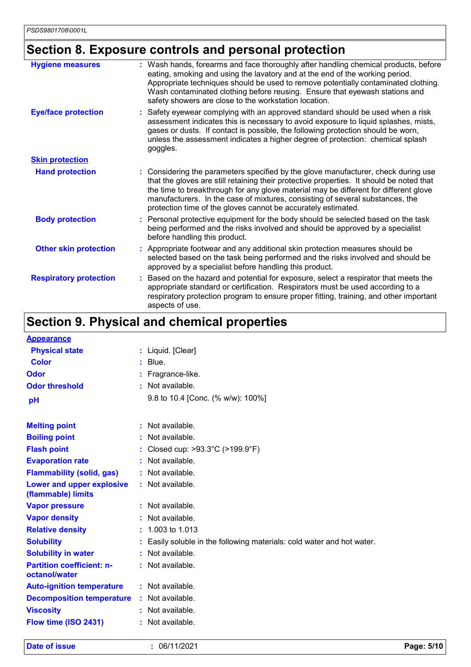# **Section 8. Exposure controls and personal protection**

| <b>Hygiene measures</b>       | : Wash hands, forearms and face thoroughly after handling chemical products, before<br>eating, smoking and using the lavatory and at the end of the working period.<br>Appropriate techniques should be used to remove potentially contaminated clothing.<br>Wash contaminated clothing before reusing. Ensure that eyewash stations and<br>safety showers are close to the workstation location.                        |
|-------------------------------|--------------------------------------------------------------------------------------------------------------------------------------------------------------------------------------------------------------------------------------------------------------------------------------------------------------------------------------------------------------------------------------------------------------------------|
| <b>Eye/face protection</b>    | Safety eyewear complying with an approved standard should be used when a risk<br>assessment indicates this is necessary to avoid exposure to liquid splashes, mists,<br>gases or dusts. If contact is possible, the following protection should be worn,<br>unless the assessment indicates a higher degree of protection: chemical splash<br>goggles.                                                                   |
| <b>Skin protection</b>        |                                                                                                                                                                                                                                                                                                                                                                                                                          |
| <b>Hand protection</b>        | : Considering the parameters specified by the glove manufacturer, check during use<br>that the gloves are still retaining their protective properties. It should be noted that<br>the time to breakthrough for any glove material may be different for different glove<br>manufacturers. In the case of mixtures, consisting of several substances, the<br>protection time of the gloves cannot be accurately estimated. |
| <b>Body protection</b>        | Personal protective equipment for the body should be selected based on the task<br>being performed and the risks involved and should be approved by a specialist<br>before handling this product.                                                                                                                                                                                                                        |
| <b>Other skin protection</b>  | Appropriate footwear and any additional skin protection measures should be<br>selected based on the task being performed and the risks involved and should be<br>approved by a specialist before handling this product.                                                                                                                                                                                                  |
| <b>Respiratory protection</b> | Based on the hazard and potential for exposure, select a respirator that meets the<br>appropriate standard or certification. Respirators must be used according to a<br>respiratory protection program to ensure proper fitting, training, and other important<br>aspects of use.                                                                                                                                        |

# **Section 9. Physical and chemical properties**

| <b>Appearance</b>                                 |                                                                        |
|---------------------------------------------------|------------------------------------------------------------------------|
| <b>Physical state</b>                             | : Liquid. [Clear]                                                      |
| <b>Color</b>                                      | $:$ Blue.                                                              |
| Odor                                              | Fragrance-like.                                                        |
| <b>Odor threshold</b>                             | : Not available.                                                       |
| pH                                                | 9.8 to 10.4 [Conc. (% w/w): 100%]                                      |
| <b>Melting point</b>                              | $:$ Not available.                                                     |
| <b>Boiling point</b>                              | : Not available.                                                       |
| <b>Flash point</b>                                | Closed cup: >93.3°C (>199.9°F)                                         |
| <b>Evaporation rate</b>                           | : Not available.                                                       |
| <b>Flammability (solid, gas)</b>                  | : Not available.                                                       |
| Lower and upper explosive<br>(flammable) limits   | : Not available.                                                       |
| <b>Vapor pressure</b>                             | : Not available.                                                       |
| <b>Vapor density</b>                              | Not available.                                                         |
| <b>Relative density</b>                           | 1.003 to 1.013                                                         |
| <b>Solubility</b>                                 | : Easily soluble in the following materials: cold water and hot water. |
| <b>Solubility in water</b>                        | : Not available.                                                       |
| <b>Partition coefficient: n-</b><br>octanol/water | : Not available.                                                       |
| <b>Auto-ignition temperature</b>                  | $:$ Not available.                                                     |
| <b>Decomposition temperature</b>                  | : Not available.                                                       |
| <b>Viscosity</b>                                  | $:$ Not available.                                                     |
| Flow time (ISO 2431)                              | : Not available.                                                       |
|                                                   |                                                                        |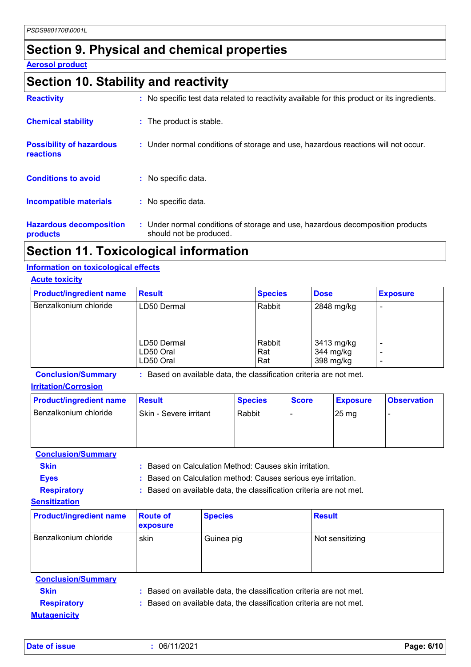### **Section 9. Physical and chemical properties**

#### **Aerosol product**

### **Section 10. Stability and reactivity**

| <b>Reactivity</b>                            | : No specific test data related to reactivity available for this product or its ingredients.              |
|----------------------------------------------|-----------------------------------------------------------------------------------------------------------|
| <b>Chemical stability</b>                    | : The product is stable.                                                                                  |
| <b>Possibility of hazardous</b><br>reactions | : Under normal conditions of storage and use, hazardous reactions will not occur.                         |
| <b>Conditions to avoid</b>                   | : No specific data.                                                                                       |
| <b>Incompatible materials</b>                | : No specific data.                                                                                       |
| <b>Hazardous decomposition</b><br>products   | : Under normal conditions of storage and use, hazardous decomposition products<br>should not be produced. |

### **Section 11. Toxicological information**

#### **Information on toxicological effects**

| <b>Acute toxicity</b>          |                                       |                      |                                      |                               |
|--------------------------------|---------------------------------------|----------------------|--------------------------------------|-------------------------------|
| <b>Product/ingredient name</b> | <b>Result</b>                         | <b>Species</b>       | <b>Dose</b>                          | <b>Exposure</b>               |
| Benzalkonium chloride          | LD50 Dermal                           | Rabbit               | 2848 mg/kg                           |                               |
|                                | LD50 Dermal<br>LD50 Oral<br>LD50 Oral | Rabbit<br>Rat<br>Rat | 3413 mg/kg<br>344 mg/kg<br>398 mg/kg | $\overline{\phantom{0}}$<br>٠ |

**Conclusion/Summary :** Based on available data, the classification criteria are not met.

#### **Irritation/Corrosion**

| <b>Product/ingredient name</b> | <b>Result</b>          | <b>Species</b> | <b>Score</b> | <b>Exposure</b>    | <b>Observation</b> |
|--------------------------------|------------------------|----------------|--------------|--------------------|--------------------|
| Benzalkonium chloride          | Skin - Severe irritant | Rabbit         |              | $25 \,\mathrm{mg}$ |                    |

**Conclusion/Summary**

**Skin :** Based on Calculation Method: Causes skin irritation.

**Eyes :** Based on Calculation method: Causes serious eye irritation.

**Respiratory :** Based on available data, the classification criteria are not met.

#### **Sensitization**

| <b>Product/ingredient name</b> | <b>Route of</b><br>exposure | <b>Species</b> | <b>Result</b>   |
|--------------------------------|-----------------------------|----------------|-----------------|
| Benzalkonium chloride          | skin                        | Guinea pig     | Not sensitizing |

| <b>Conclusion/Summary</b> |                                                                     |
|---------------------------|---------------------------------------------------------------------|
| <b>Skin</b>               | : Based on available data, the classification criteria are not met. |
| <b>Respiratory</b>        | : Based on available data, the classification criteria are not met. |
| <b>Mutagenicity</b>       |                                                                     |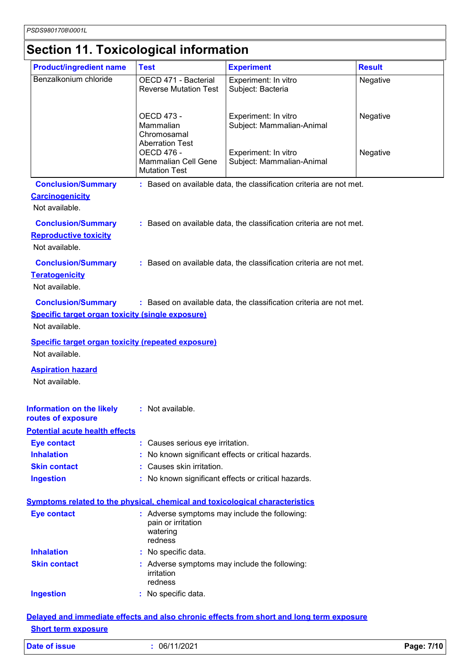# **Section 11. Toxicological information**

| <b>Product/ingredient name</b>                                                                         | <b>Test</b>                                                                                | <b>Experiment</b>                                                                        | <b>Result</b> |
|--------------------------------------------------------------------------------------------------------|--------------------------------------------------------------------------------------------|------------------------------------------------------------------------------------------|---------------|
| Benzalkonium chloride                                                                                  | OECD 471 - Bacterial<br><b>Reverse Mutation Test</b>                                       | Experiment: In vitro<br>Subject: Bacteria                                                | Negative      |
|                                                                                                        | OECD 473 -<br>Mammalian<br>Chromosamal<br><b>Aberration Test</b>                           | Experiment: In vitro<br>Subject: Mammalian-Animal                                        | Negative      |
|                                                                                                        | <b>OECD 476 -</b><br><b>Mammalian Cell Gene</b><br><b>Mutation Test</b>                    | Experiment: In vitro<br>Subject: Mammalian-Animal                                        | Negative      |
| <b>Conclusion/Summary</b>                                                                              |                                                                                            | : Based on available data, the classification criteria are not met.                      |               |
| <b>Carcinogenicity</b><br>Not available.                                                               |                                                                                            |                                                                                          |               |
| <b>Conclusion/Summary</b><br><b>Reproductive toxicity</b><br>Not available.                            |                                                                                            | : Based on available data, the classification criteria are not met.                      |               |
| <b>Conclusion/Summary</b><br><b>Teratogenicity</b><br>Not available.                                   |                                                                                            | : Based on available data, the classification criteria are not met.                      |               |
| <b>Conclusion/Summary</b><br><b>Specific target organ toxicity (single exposure)</b><br>Not available. |                                                                                            | : Based on available data, the classification criteria are not met.                      |               |
| <b>Specific target organ toxicity (repeated exposure)</b><br>Not available.                            |                                                                                            |                                                                                          |               |
| <b>Aspiration hazard</b><br>Not available.                                                             |                                                                                            |                                                                                          |               |
| Information on the likely<br>routes of exposure                                                        | : Not available.                                                                           |                                                                                          |               |
| <b>Potential acute health effects</b>                                                                  |                                                                                            |                                                                                          |               |
| <b>Eye contact</b>                                                                                     | : Causes serious eye irritation.                                                           |                                                                                          |               |
| <b>Inhalation</b>                                                                                      |                                                                                            | No known significant effects or critical hazards.                                        |               |
| <b>Skin contact</b>                                                                                    | : Causes skin irritation.                                                                  |                                                                                          |               |
| <b>Ingestion</b>                                                                                       |                                                                                            | : No known significant effects or critical hazards.                                      |               |
| <b>Symptoms related to the physical, chemical and toxicological characteristics</b>                    |                                                                                            |                                                                                          |               |
| <b>Eye contact</b>                                                                                     | : Adverse symptoms may include the following:<br>pain or irritation<br>watering<br>redness |                                                                                          |               |
| <b>Inhalation</b>                                                                                      | : No specific data.                                                                        |                                                                                          |               |
| <b>Skin contact</b>                                                                                    | : Adverse symptoms may include the following:<br>irritation<br>redness                     |                                                                                          |               |
| <b>Ingestion</b>                                                                                       | : No specific data.                                                                        |                                                                                          |               |
|                                                                                                        |                                                                                            | Delayed and immediate effects and also chronic effects from short and long term exposure |               |

#### **Short term exposure**

| <b>Date of issue</b> |  |  |
|----------------------|--|--|
|                      |  |  |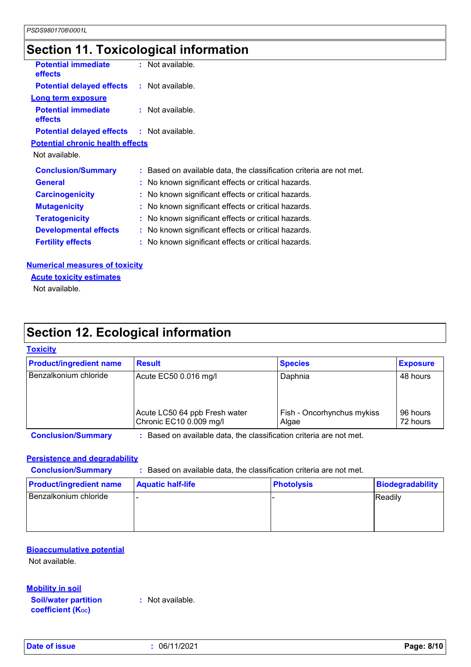# **Section 11. Toxicological information**

| <b>Potential immediate</b><br><b>effects</b>      | : Not available.                                                    |
|---------------------------------------------------|---------------------------------------------------------------------|
| <b>Potential delayed effects : Not available.</b> |                                                                     |
| <b>Long term exposure</b>                         |                                                                     |
| <b>Potential immediate</b><br><b>effects</b>      | : Not available.                                                    |
| <b>Potential delayed effects : Not available.</b> |                                                                     |
| <b>Potential chronic health effects</b>           |                                                                     |
| Not available.                                    |                                                                     |
| <b>Conclusion/Summary</b>                         | : Based on available data, the classification criteria are not met. |
| <b>General</b>                                    | : No known significant effects or critical hazards.                 |
| <b>Carcinogenicity</b>                            | : No known significant effects or critical hazards.                 |
| <b>Mutagenicity</b>                               | : No known significant effects or critical hazards.                 |
| <b>Teratogenicity</b>                             | : No known significant effects or critical hazards.                 |
| <b>Developmental effects</b>                      | : No known significant effects or critical hazards.                 |
| <b>Fertility effects</b>                          | : No known significant effects or critical hazards.                 |
|                                                   |                                                                     |

#### **Numerical measures of toxicity**

**Acute toxicity estimates**

Not available.

# **Section 12. Ecological information**

#### **Toxicity**

| <b>Product/ingredient name</b> | <b>Result</b>                                            | <b>Species</b>                      | <b>Exposure</b>      |
|--------------------------------|----------------------------------------------------------|-------------------------------------|----------------------|
| Benzalkonium chloride          | Acute EC50 0.016 mg/l                                    | Daphnia                             | 48 hours             |
|                                | Acute LC50 64 ppb Fresh water<br>Chronic EC10 0.009 mg/l | Fish - Oncorhynchus mykiss<br>Algae | 96 hours<br>72 hours |

**Conclusion/Summary :** Based on available data, the classification criteria are not met.

#### **Persistence and degradability**

**Conclusion/Summary :** Based on available data, the classification criteria are not met.

| <b>Product/ingredient name</b> | <b>Aquatic half-life</b> | <b>Photolysis</b> | Biodegradability |
|--------------------------------|--------------------------|-------------------|------------------|
| Benzalkonium chloride          |                          |                   | Readily          |
|                                |                          |                   |                  |
|                                |                          |                   |                  |

#### **Bioaccumulative potential**

Not available.

**Mobility in soil**

**Soil/water partition coefficient (KOC)**

**:** Not available.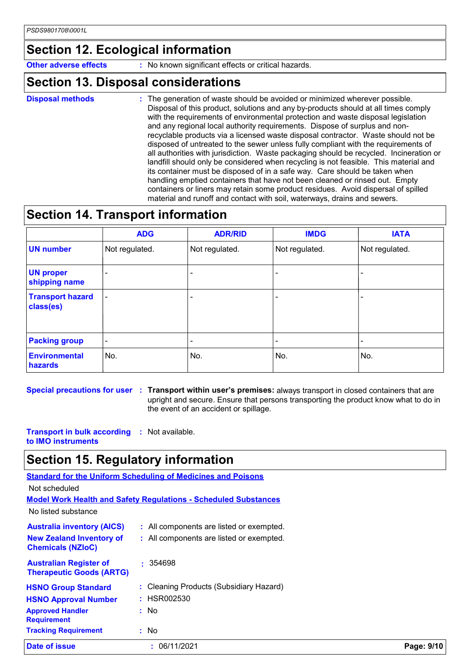### **Section 12. Ecological information**

**Other adverse effects** : No known significant effects or critical hazards.

### **Section 13. Disposal considerations**

**Disposal methods :**

: The generation of waste should be avoided or minimized wherever possible. Disposal of this product, solutions and any by-products should at all times comply with the requirements of environmental protection and waste disposal legislation and any regional local authority requirements. Dispose of surplus and nonrecyclable products via a licensed waste disposal contractor. Waste should not be disposed of untreated to the sewer unless fully compliant with the requirements of all authorities with jurisdiction. Waste packaging should be recycled. Incineration or landfill should only be considered when recycling is not feasible. This material and its container must be disposed of in a safe way. Care should be taken when handling emptied containers that have not been cleaned or rinsed out. Empty containers or liners may retain some product residues. Avoid dispersal of spilled material and runoff and contact with soil, waterways, drains and sewers.

### **Section 14. Transport information**

|                                      | <b>ADG</b>               | <b>ADR/RID</b> | <b>IMDG</b>    | <b>IATA</b>              |
|--------------------------------------|--------------------------|----------------|----------------|--------------------------|
| <b>UN number</b>                     | Not regulated.           | Not regulated. | Not regulated. | Not regulated.           |
| <b>UN proper</b><br>shipping name    |                          |                |                | $\overline{\phantom{0}}$ |
| <b>Transport hazard</b><br>class(es) | $\overline{\phantom{a}}$ |                | ٠              |                          |
| <b>Packing group</b>                 | $\overline{\phantom{a}}$ |                | -              |                          |
| <b>Environmental</b><br>hazards      | No.                      | No.            | No.            | No.                      |

**Special precautions for user Transport within user's premises:** always transport in closed containers that are **:** upright and secure. Ensure that persons transporting the product know what to do in the event of an accident or spillage.

**Transport in bulk according :** Not available. **to IMO instruments**

**Therapeutic Goods (ARTG)**

### **Section 15. Regulatory information**

**Standard for the Uniform Scheduling of Medicines and Poisons Model Work Health and Safety Regulations - Scheduled Substances** No listed substance Not scheduled **Australia inventory (AICS) New Zealand Inventory of Chemicals (NZIoC) :** All components are listed or exempted. **:** All components are listed or exempted. **Australian Register of :** 354698

| <b>Date of issue</b>                          | 06/11/2021<br>t.                        | Page: 9/10 |
|-----------------------------------------------|-----------------------------------------|------------|
| <b>Tracking Requirement</b>                   | : No                                    |            |
| <b>Approved Handler</b><br><b>Requirement</b> | : No                                    |            |
| <b>HSNO Approval Number</b>                   | : HSR002530                             |            |
| <b>HSNO Group Standard</b>                    | : Cleaning Products (Subsidiary Hazard) |            |
| <b>INCIADEQUE QUUUS (ANTO)</b>                |                                         |            |